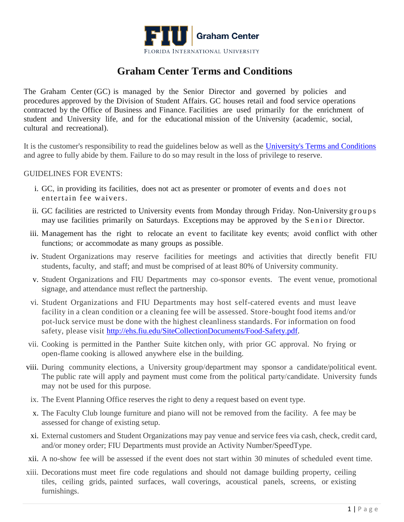

## **Graham Center Terms and Conditions**

The Graham Center (GC) is managed by the Senior Director and governed by policies and procedures approved by the Division of Student Affairs. GC houses retail and food service operations contracted by the Office of Business and Finance. Facilities are used primarily for the enrichment of student and University life, and for the educational mission of the University (academic, social, cultural and recreational).

It is the customer's responsibility to read the guidelines below as well as the [University's Terms and Conditions](https://reservespace.fiu.edu/terms-conditions/) and agree to fully abide by them. Failure to do so may result in the loss of privilege to reserve.

## GUIDELINES FOR EVENTS:

- i. GC, in providing its facilities, does not act as presenter or promoter of events and does not entertain fee waivers.
- ii. GC facilities are restricted to University events from Monday through Friday. Non-University groups may use facilities primarily on Saturdays. Exceptions may be approved by the Senior Director.
- iii. Management has the right to relocate an event to facilitate key events; avoid conflict with other functions; or accommodate as many groups as possible.
- iv. Student Organizations may reserve facilities for meetings and activities that directly benefit FIU students, faculty, and staff; and must be comprised of at least 80% of University community.
- v. Student Organizations and FIU Departments may co-sponsor events. The event venue, promotional signage, and attendance must reflect the partnership.
- vi. Student Organizations and FIU Departments may host self-catered events and must leave facility in a clean condition or a cleaning fee will be assessed. Store-bought food items and/or pot-luck service must be done with the highest cleanliness standards. For information on food safety, please visit [http://ehs.fiu.edu/SiteCollectionDocuments/Food-Safety.pdf.](http://ehs.fiu.edu/SiteCollectionDocuments/Food-Safety.pdf)
- vii. Cooking is permitted in the Panther Suite kitchen only, with prior GC approval. No frying or open-flame cooking is allowed anywhere else in the building.
- viii. During community elections, a University group/department may sponsor a candidate/political event. The public rate will apply and payment must come from the political party/candidate. University funds may not be used for this purpose.
- ix. The Event Planning Office reserves the right to deny a request based on event type.
- x. The Faculty Club lounge furniture and piano will not be removed from the facility. A fee may be assessed for change of existing setup.
- xi. External customers and Student Organizations may pay venue and service fees via cash, check, credit card, and/or money order; FIU Departments must provide an Activity Number/SpeedType.
- xii. A no-show fee will be assessed if the event does not start within 30 minutes of scheduled event time.
- xiii. Decorations must meet fire code regulations and should not damage building property, ceiling tiles, ceiling grids, painted surfaces, wall coverings, acoustical panels, screens, or existing furnishings.